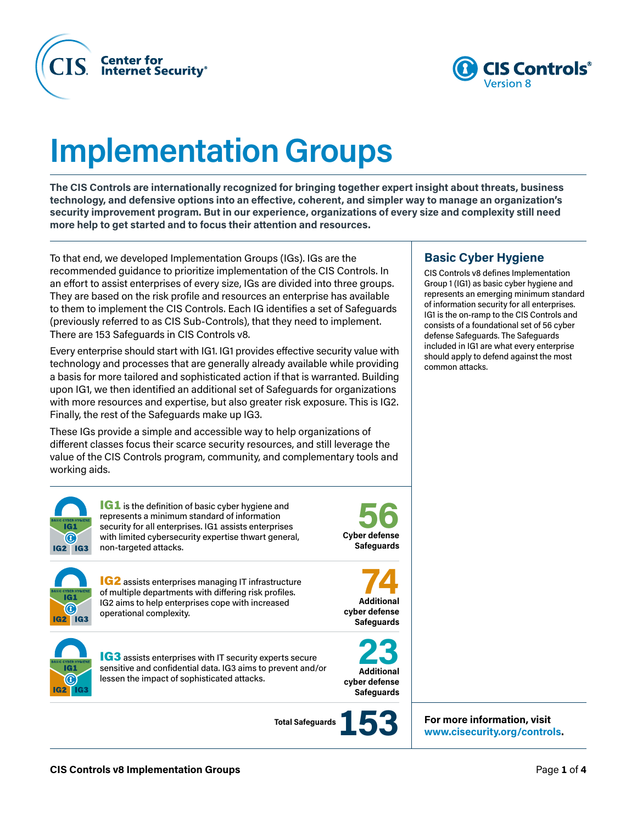



# **Implementation Groups**

**The CIS Controls are internationally recognized for bringing together expert insight about threats, business technology, and defensive options into an effective, coherent, and simpler way to manage an organization's security improvement program. But in our experience, organizations of every size and complexity still need more help to get started and to focus their attention and resources.**

To that end, we developed Implementation Groups (IGs). IGs are the recommended guidance to prioritize implementation of the CIS Controls. In an effort to assist enterprises of every size, IGs are divided into three groups. They are based on the risk profile and resources an enterprise has available to them to implement the CIS Controls. Each IG identifies a set of Safeguards (previously referred to as CIS Sub-Controls), that they need to implement. There are 153 Safeguards in CIS Controls v8.

Every enterprise should start with IG1. IG1 provides effective security value with technology and processes that are generally already available while providing a basis for more tailored and sophisticated action if that is warranted. Building upon IG1, we then identified an additional set of Safeguards for organizations with more resources and expertise, but also greater risk exposure. This is IG2. Finally, the rest of the Safeguards make up IG3.

These IGs provide a simple and accessible way to help organizations of different classes focus their scarce security resources, and still leverage the value of the CIS Controls program, community, and complementary tools and working aids.



**IG1** is the definition of basic cyber hygiene and represents a minimum standard of information security for all enterprises. IG1 assists enterprises with limited cybersecurity expertise thwart general, non-targeted attacks.

**Cyber defense 56 Safeguards**



IG2 assists enterprises managing IT infrastructure of multiple departments with differing risk profiles. IG2 aims to help enterprises cope with increased operational complexity.





**IG3** assists enterprises with IT security experts secure sensitive and confidential data. IG3 aims to prevent and/or lessen the impact of sophisticated attacks.

**Total Safeguards** 



**For more information, visit [www.cisecurity.org/controls.](http://www.cisecurity.org/controls)**

#### **Basic Cyber Hygiene**

CIS Controls v8 defines Implementation Group 1 (IG1) as basic cyber hygiene and represents an emerging minimum standard of information security for all enterprises. IG1 is the on-ramp to the CIS Controls and consists of a foundational set of 56 cyber defense Safeguards. The Safeguards included in IG1 are what every enterprise should apply to defend against the most common attacks.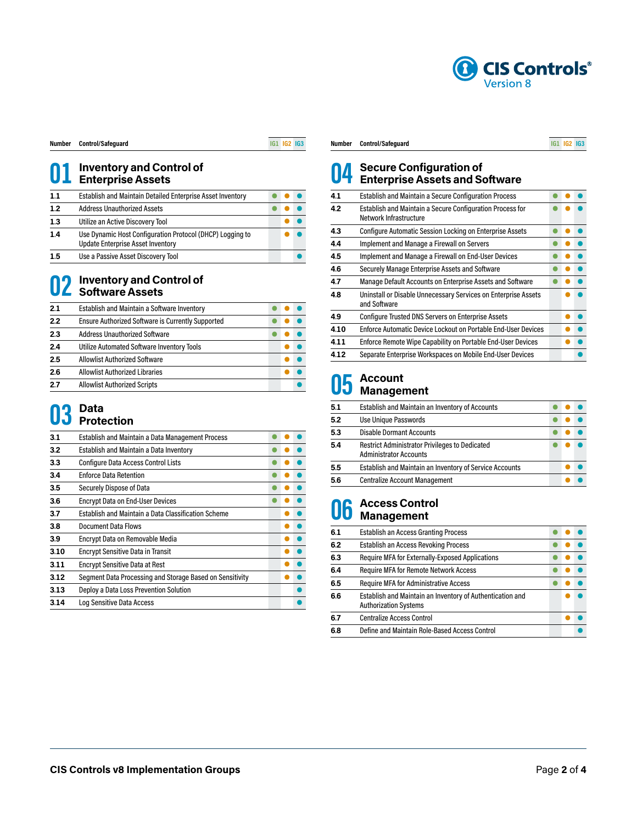

| Number | <b>Control/Safeguard</b> |
|--------|--------------------------|
|        |                          |

**Number Control/Safeguard IG1 IG2 IG3**

### **Inventory and Control of Enterprise Assets**

| 1.1 | <b>Establish and Maintain Detailed Enterprise Asset Inventory</b>                                     |  |  |
|-----|-------------------------------------------------------------------------------------------------------|--|--|
| 1.2 | <b>Address Unauthorized Assets</b>                                                                    |  |  |
| 1.3 | Utilize an Active Discovery Tool                                                                      |  |  |
| 1.4 | Use Dynamic Host Configuration Protocol (DHCP) Logging to<br><b>Update Enterprise Asset Inventory</b> |  |  |
| 15  | Use a Passive Asset Discovery Tool                                                                    |  |  |

## **Inventory and Control of Software Assets**

| 2.1 | Establish and Maintain a Software Inventory              |  |  |
|-----|----------------------------------------------------------|--|--|
| 2.2 | <b>Ensure Authorized Software is Currently Supported</b> |  |  |
| 2.3 | <b>Address Unauthorized Software</b>                     |  |  |
| 2.4 | Utilize Automated Software Inventory Tools               |  |  |
| 2.5 | <b>Allowlist Authorized Software</b>                     |  |  |
| 2.6 | <b>Allowlist Authorized Libraries</b>                    |  |  |
| 2.7 | <b>Allowlist Authorized Scripts</b>                      |  |  |

### **Data Protection**

| 3.1  | <b>Establish and Maintain a Data Management Process</b>  |  |  |
|------|----------------------------------------------------------|--|--|
| 3.2  | Establish and Maintain a Data Inventory                  |  |  |
| 3.3  | <b>Configure Data Access Control Lists</b>               |  |  |
| 3.4  | <b>Enforce Data Retention</b>                            |  |  |
| 3.5  | Securely Dispose of Data                                 |  |  |
| 3.6  | <b>Encrypt Data on End-User Devices</b>                  |  |  |
| 3.7  | Establish and Maintain a Data Classification Scheme      |  |  |
| 3.8  | <b>Document Data Flows</b>                               |  |  |
| 3.9  | Encrypt Data on Removable Media                          |  |  |
| 3.10 | <b>Encrypt Sensitive Data in Transit</b>                 |  |  |
| 3.11 | <b>Encrypt Sensitive Data at Rest</b>                    |  |  |
| 3.12 | Segment Data Processing and Storage Based on Sensitivity |  |  |
| 3.13 | Deploy a Data Loss Prevention Solution                   |  |  |
| 3.14 | Log Sensitive Data Access                                |  |  |
|      |                                                          |  |  |

#### **Number Control/Safeguard IG1 IG2 IG3**

### **Secure Configuration of Enterprise Assets and Software**

| 4.1  | <b>Establish and Maintain a Secure Configuration Process</b>                        |  |  |
|------|-------------------------------------------------------------------------------------|--|--|
| 4.2  | Establish and Maintain a Secure Configuration Process for<br>Network Infrastructure |  |  |
| 4.3  | <b>Configure Automatic Session Locking on Enterprise Assets</b>                     |  |  |
| 4.4  | Implement and Manage a Firewall on Servers                                          |  |  |
| 4.5  | Implement and Manage a Firewall on End-User Devices                                 |  |  |
| 4.6  | Securely Manage Enterprise Assets and Software                                      |  |  |
| 4.7  | Manage Default Accounts on Enterprise Assets and Software                           |  |  |
| 4.8  | Uninstall or Disable Unnecessary Services on Enterprise Assets<br>and Software      |  |  |
| 4.9  | <b>Configure Trusted DNS Servers on Enterprise Assets</b>                           |  |  |
| 4.10 | Enforce Automatic Device Lockout on Portable End-User Devices                       |  |  |
| 4.11 | Enforce Remote Wipe Capability on Portable End-User Devices                         |  |  |
| 4.12 | Separate Enterprise Workspaces on Mobile End-User Devices                           |  |  |
|      |                                                                                     |  |  |

### **Account Management**

| 5.1 | Establish and Maintain an Inventory of Accounts                                        |  |  |
|-----|----------------------------------------------------------------------------------------|--|--|
| 5.2 | Use Unique Passwords                                                                   |  |  |
| 5.3 | <b>Disable Dormant Accounts</b>                                                        |  |  |
| 5.4 | <b>Restrict Administrator Privileges to Dedicated</b><br><b>Administrator Accounts</b> |  |  |
| 5.5 | Establish and Maintain an Inventory of Service Accounts                                |  |  |
| 5.6 | <b>Centralize Account Management</b>                                                   |  |  |

### **Access Control Management**

| 6.1 | Establish an Access Granting Process                                                      |  |  |
|-----|-------------------------------------------------------------------------------------------|--|--|
| 6.2 | Establish an Access Revoking Process                                                      |  |  |
| 6.3 | <b>Require MFA for Externally-Exposed Applications</b>                                    |  |  |
| 6.4 | <b>Require MFA for Remote Network Access</b>                                              |  |  |
| 6.5 | <b>Require MFA for Administrative Access</b>                                              |  |  |
| 6.6 | Establish and Maintain an Inventory of Authentication and<br><b>Authorization Systems</b> |  |  |
| 6.7 | <b>Centralize Access Control</b>                                                          |  |  |
| 6.8 | Define and Maintain Role-Based Access Control                                             |  |  |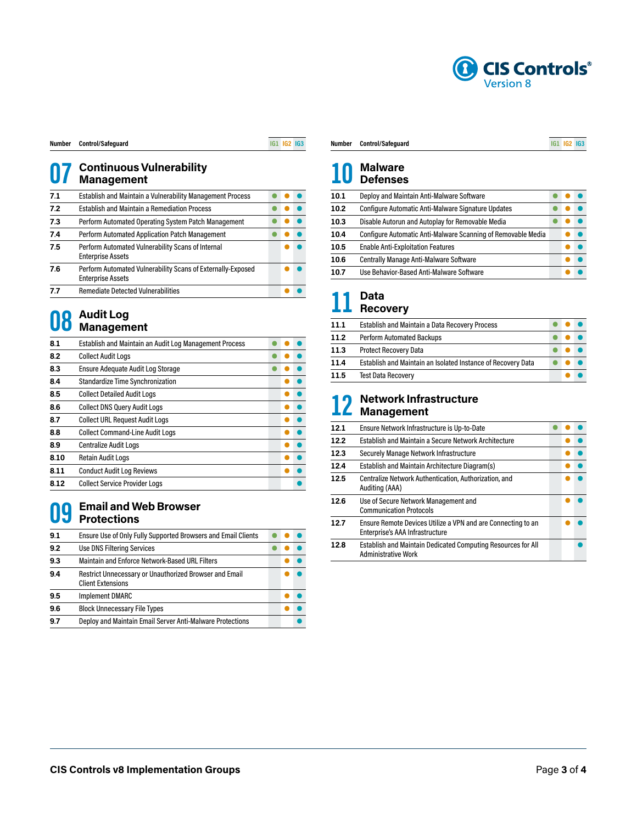

| Number | Control/Safeguar |  |
|--------|------------------|--|
|--------|------------------|--|

**Number Control/Safeguard IG1 IG2 IG3**

### **Continuous Vulnerability Management**

| 7.1 | Establish and Maintain a Vulnerability Management Process                               |  |  |
|-----|-----------------------------------------------------------------------------------------|--|--|
| 7.2 | <b>Establish and Maintain a Remediation Process</b>                                     |  |  |
| 7.3 | Perform Automated Operating System Patch Management                                     |  |  |
| 7.4 | Perform Automated Application Patch Management                                          |  |  |
| 7.5 | Perform Automated Vulnerability Scans of Internal<br><b>Enterprise Assets</b>           |  |  |
| 7.6 | Perform Automated Vulnerability Scans of Externally-Exposed<br><b>Enterprise Assets</b> |  |  |
| 77  | <b>Remediate Detected Vulnerabilities</b>                                               |  |  |
|     |                                                                                         |  |  |

### **Audit Log Management**

| 8.1  | Establish and Maintain an Audit Log Management Process |  |  |
|------|--------------------------------------------------------|--|--|
| 8.2  | <b>Collect Audit Logs</b>                              |  |  |
| 8.3  | Ensure Adequate Audit Log Storage                      |  |  |
| 8.4  | Standardize Time Synchronization                       |  |  |
| 8.5  | <b>Collect Detailed Audit Logs</b>                     |  |  |
| 8.6  | <b>Collect DNS Query Audit Logs</b>                    |  |  |
| 8.7  | <b>Collect URL Request Audit Logs</b>                  |  |  |
| 8.8  | <b>Collect Command-Line Audit Logs</b>                 |  |  |
| 8.9  | <b>Centralize Audit Logs</b>                           |  |  |
| 8.10 | <b>Retain Audit Logs</b>                               |  |  |
| 8.11 | <b>Conduct Audit Log Reviews</b>                       |  |  |
| 8.12 | <b>Collect Service Provider Logs</b>                   |  |  |
|      |                                                        |  |  |

## **Email and Web Browser Protections**

| 9.1 | Ensure Use of Only Fully Supported Browsers and Email Clients                      |  |  |
|-----|------------------------------------------------------------------------------------|--|--|
| 9.2 | <b>Use DNS Filtering Services</b>                                                  |  |  |
| 9.3 | <b>Maintain and Enforce Network-Based URL Filters</b>                              |  |  |
| 9.4 | Restrict Unnecessary or Unauthorized Browser and Email<br><b>Client Extensions</b> |  |  |
| 9.5 | <b>Implement DMARC</b>                                                             |  |  |
| 9.6 | <b>Block Unnecessary File Types</b>                                                |  |  |
| 9.7 | Deploy and Maintain Email Server Anti-Malware Protections                          |  |  |

#### **Number Control/Safeguard IG1 IG2 IG3**

### **Malware Defenses**

| 10.1 | Deploy and Maintain Anti-Malware Software                    |  |  |
|------|--------------------------------------------------------------|--|--|
| 10.2 | Configure Automatic Anti-Malware Signature Updates           |  |  |
| 10.3 | Disable Autorun and Autoplay for Removable Media             |  |  |
| 10.4 | Configure Automatic Anti-Malware Scanning of Removable Media |  |  |
| 10.5 | <b>Enable Anti-Exploitation Features</b>                     |  |  |
| 10.6 | <b>Centrally Manage Anti-Malware Software</b>                |  |  |
| 10.7 | Use Behavior-Based Anti-Malware Software                     |  |  |

### **Data Recovery**

| 11.1 | Establish and Maintain a Data Recovery Process               |  |  |
|------|--------------------------------------------------------------|--|--|
| 11.2 | <b>Perform Automated Backups</b>                             |  |  |
| 11.3 | <b>Protect Recovery Data</b>                                 |  |  |
| 11.4 | Establish and Maintain an Isolated Instance of Recovery Data |  |  |
| 11.5 | <b>Test Data Recovery</b>                                    |  |  |

### **Network Infrastructure Management**

| 12.1 | Ensure Network Infrastructure is Up-to-Date                                                       |  |  |
|------|---------------------------------------------------------------------------------------------------|--|--|
| 12.2 | Establish and Maintain a Secure Network Architecture                                              |  |  |
| 12.3 | Securely Manage Network Infrastructure                                                            |  |  |
| 124  | Establish and Maintain Architecture Diagram(s)                                                    |  |  |
| 12.5 | Centralize Network Authentication, Authorization, and<br>Auditing (AAA)                           |  |  |
| 12.6 | Use of Secure Network Management and<br><b>Communication Protocols</b>                            |  |  |
| 127  | Ensure Remote Devices Utilize a VPN and are Connecting to an<br>Enterprise's AAA Infrastructure   |  |  |
| 12.8 | <b>Establish and Maintain Dedicated Computing Resources for All</b><br><b>Administrative Work</b> |  |  |